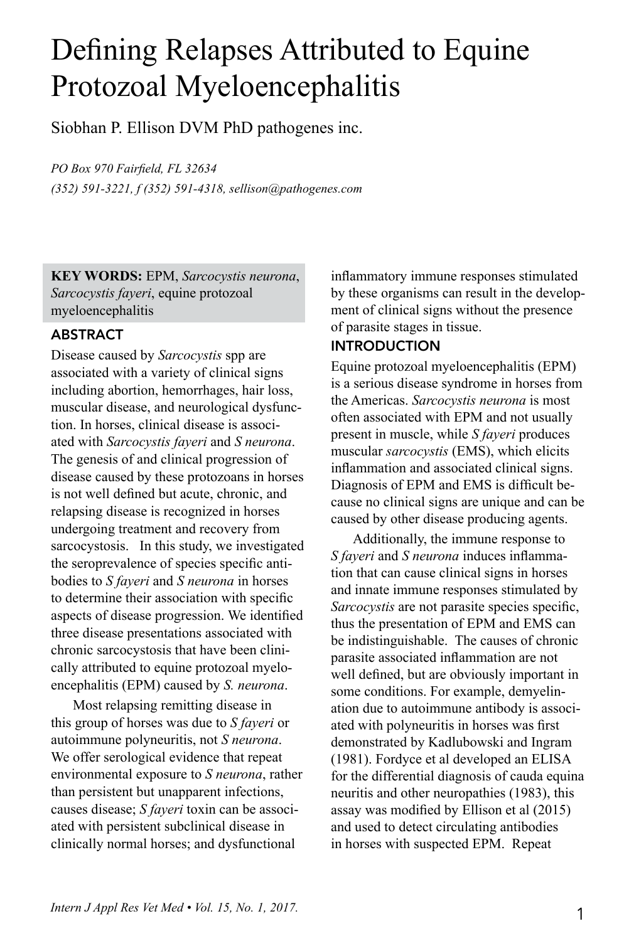# Defining Relapses Attributed to Equine Protozoal Myeloencephalitis

Siobhan P. Ellison DVM PhD pathogenes inc.

*PO Box 970 Fairfield, FL 32634*

*(352) 591-3221, f (352) 591-4318, sellison@pathogenes.com*

**KEY WORDS:** EPM, *Sarcocystis neurona*, *Sarcocystis fayeri*, equine protozoal myeloencephalitis

# ABSTRACT

Disease caused by *Sarcocystis* spp are associated with a variety of clinical signs including abortion, hemorrhages, hair loss, muscular disease, and neurological dysfunction. In horses, clinical disease is associated with *Sarcocystis fayeri* and *S neurona*. The genesis of and clinical progression of disease caused by these protozoans in horses is not well defined but acute, chronic, and relapsing disease is recognized in horses undergoing treatment and recovery from sarcocystosis. In this study, we investigated the seroprevalence of species specific antibodies to *S fayeri* and *S neurona* in horses to determine their association with specific aspects of disease progression. We identified three disease presentations associated with chronic sarcocystosis that have been clinically attributed to equine protozoal myeloencephalitis (EPM) caused by *S. neurona*.

Most relapsing remitting disease in this group of horses was due to *S fayeri* or autoimmune polyneuritis, not *S neurona*. We offer serological evidence that repeat environmental exposure to *S neurona*, rather than persistent but unapparent infections, causes disease; *S fayeri* toxin can be associated with persistent subclinical disease in clinically normal horses; and dysfunctional

inflammatory immune responses stimulated by these organisms can result in the development of clinical signs without the presence of parasite stages in tissue.

## INTRODUCTION

Equine protozoal myeloencephalitis (EPM) is a serious disease syndrome in horses from the Americas. *Sarcocystis neurona* is most often associated with EPM and not usually present in muscle, while *S fayeri* produces muscular *sarcocystis* (EMS), which elicits inflammation and associated clinical signs. Diagnosis of EPM and EMS is difficult because no clinical signs are unique and can be caused by other disease producing agents.

Additionally, the immune response to *S fayeri* and *S neurona* induces inflammation that can cause clinical signs in horses and innate immune responses stimulated by *Sarcocystis* are not parasite species specific, thus the presentation of EPM and EMS can be indistinguishable. The causes of chronic parasite associated inflammation are not well defined, but are obviously important in some conditions. For example, demyelination due to autoimmune antibody is associated with polyneuritis in horses was first demonstrated by Kadlubowski and Ingram (1981). Fordyce et al developed an ELISA for the differential diagnosis of cauda equina neuritis and other neuropathies (1983), this assay was modified by Ellison et al (2015) and used to detect circulating antibodies in horses with suspected EPM. Repeat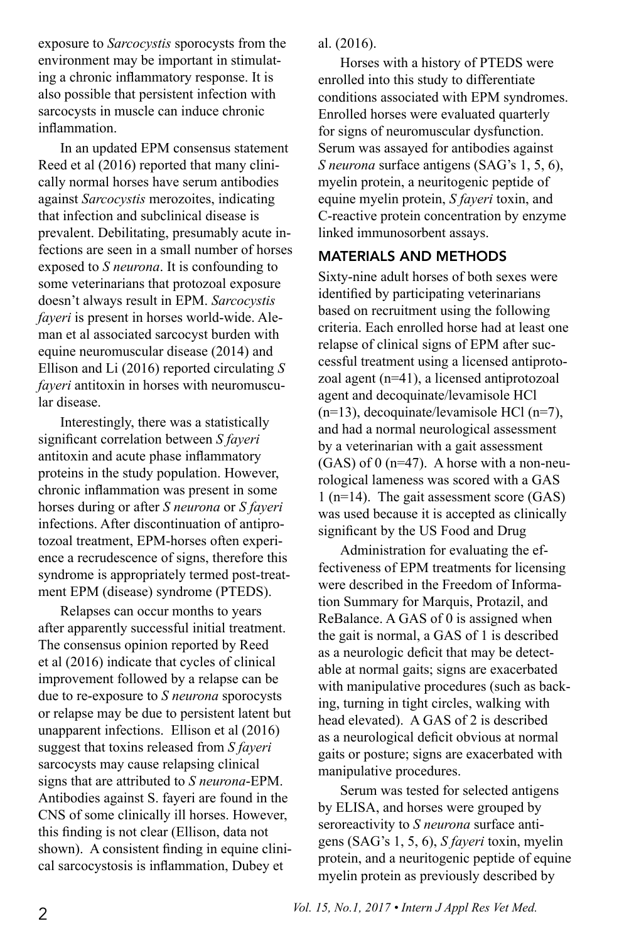exposure to *Sarcocystis* sporocysts from the environment may be important in stimulating a chronic inflammatory response. It is also possible that persistent infection with sarcocysts in muscle can induce chronic inflammation.

In an updated EPM consensus statement Reed et al (2016) reported that many clinically normal horses have serum antibodies against *Sarcocystis* merozoites, indicating that infection and subclinical disease is prevalent. Debilitating, presumably acute infections are seen in a small number of horses exposed to *S neurona*. It is confounding to some veterinarians that protozoal exposure doesn't always result in EPM. *Sarcocystis fayeri* is present in horses world-wide. Aleman et al associated sarcocyst burden with equine neuromuscular disease (2014) and Ellison and Li (2016) reported circulating *S fayeri* antitoxin in horses with neuromuscular disease.

Interestingly, there was a statistically significant correlation between *S fayeri* antitoxin and acute phase inflammatory proteins in the study population. However, chronic inflammation was present in some horses during or after *S neurona* or *S fayeri* infections. After discontinuation of antiprotozoal treatment, EPM-horses often experience a recrudescence of signs, therefore this syndrome is appropriately termed post-treatment EPM (disease) syndrome (PTEDS).

Relapses can occur months to years after apparently successful initial treatment. The consensus opinion reported by Reed et al (2016) indicate that cycles of clinical improvement followed by a relapse can be due to re-exposure to *S neurona* sporocysts or relapse may be due to persistent latent but unapparent infections. Ellison et al (2016) suggest that toxins released from *S fayeri* sarcocysts may cause relapsing clinical signs that are attributed to *S neurona*-EPM. Antibodies against S. fayeri are found in the CNS of some clinically ill horses. However, this finding is not clear (Ellison, data not shown). A consistent finding in equine clinical sarcocystosis is inflammation, Dubey et

al. (2016).

Horses with a history of PTEDS were enrolled into this study to differentiate conditions associated with EPM syndromes. Enrolled horses were evaluated quarterly for signs of neuromuscular dysfunction. Serum was assayed for antibodies against *S neurona* surface antigens (SAG's 1, 5, 6), myelin protein, a neuritogenic peptide of equine myelin protein, *S fayeri* toxin, and C-reactive protein concentration by enzyme linked immunosorbent assays.

## MATERIALS AND METHODS

Sixty-nine adult horses of both sexes were identified by participating veterinarians based on recruitment using the following criteria. Each enrolled horse had at least one relapse of clinical signs of EPM after successful treatment using a licensed antiprotozoal agent (n=41), a licensed antiprotozoal agent and decoquinate/levamisole HCl (n=13), decoquinate/levamisole HCl (n=7), and had a normal neurological assessment by a veterinarian with a gait assessment  $(GAS)$  of 0 (n=47). A horse with a non-neurological lameness was scored with a GAS 1 (n=14). The gait assessment score (GAS) was used because it is accepted as clinically significant by the US Food and Drug

Administration for evaluating the effectiveness of EPM treatments for licensing were described in the Freedom of Information Summary for Marquis, Protazil, and ReBalance. A GAS of 0 is assigned when the gait is normal, a GAS of 1 is described as a neurologic deficit that may be detectable at normal gaits; signs are exacerbated with manipulative procedures (such as backing, turning in tight circles, walking with head elevated). A GAS of 2 is described as a neurological deficit obvious at normal gaits or posture; signs are exacerbated with manipulative procedures.

Serum was tested for selected antigens by ELISA, and horses were grouped by seroreactivity to *S neurona* surface antigens (SAG's 1, 5, 6), *S fayeri* toxin, myelin protein, and a neuritogenic peptide of equine myelin protein as previously described by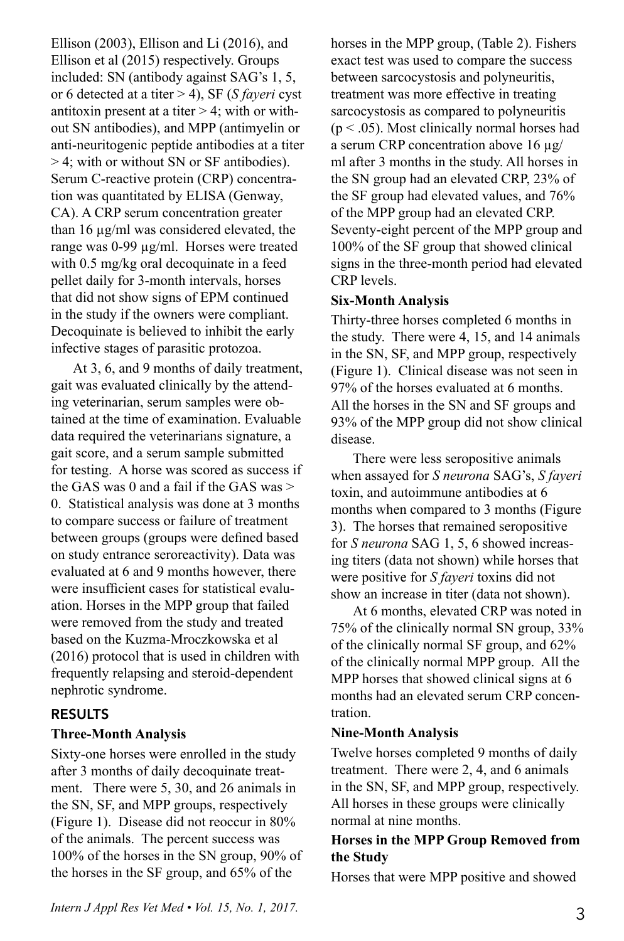Ellison (2003), Ellison and Li (2016), and Ellison et al (2015) respectively. Groups included: SN (antibody against SAG's 1, 5, or 6 detected at a titer > 4), SF (*S fayeri* cyst antitoxin present at a titer  $> 4$ ; with or without SN antibodies), and MPP (antimyelin or anti-neuritogenic peptide antibodies at a titer > 4; with or without SN or SF antibodies). Serum C-reactive protein (CRP) concentration was quantitated by ELISA (Genway, CA). A CRP serum concentration greater than 16 µg/ml was considered elevated, the range was 0-99 µg/ml. Horses were treated with 0.5 mg/kg oral decoquinate in a feed pellet daily for 3-month intervals, horses that did not show signs of EPM continued in the study if the owners were compliant. Decoquinate is believed to inhibit the early infective stages of parasitic protozoa.

At 3, 6, and 9 months of daily treatment, gait was evaluated clinically by the attending veterinarian, serum samples were obtained at the time of examination. Evaluable data required the veterinarians signature, a gait score, and a serum sample submitted for testing. A horse was scored as success if the GAS was 0 and a fail if the GAS was > 0. Statistical analysis was done at 3 months to compare success or failure of treatment between groups (groups were defined based on study entrance seroreactivity). Data was evaluated at 6 and 9 months however, there were insufficient cases for statistical evaluation. Horses in the MPP group that failed were removed from the study and treated based on the Kuzma-Mroczkowska et al (2016) protocol that is used in children with frequently relapsing and steroid-dependent nephrotic syndrome.

#### RESULTS

#### **Three-Month Analysis**

Sixty-one horses were enrolled in the study after 3 months of daily decoquinate treatment. There were 5, 30, and 26 animals in the SN, SF, and MPP groups, respectively (Figure 1). Disease did not reoccur in 80% of the animals. The percent success was 100% of the horses in the SN group, 90% of the horses in the SF group, and 65% of the

horses in the MPP group, (Table 2). Fishers exact test was used to compare the success between sarcocystosis and polyneuritis, treatment was more effective in treating sarcocystosis as compared to polyneuritis  $(p < .05)$ . Most clinically normal horses had a serum CRP concentration above 16 µg/ ml after 3 months in the study. All horses in the SN group had an elevated CRP, 23% of the SF group had elevated values, and 76% of the MPP group had an elevated CRP. Seventy-eight percent of the MPP group and 100% of the SF group that showed clinical signs in the three-month period had elevated CRP levels.

#### **Six-Month Analysis**

Thirty-three horses completed 6 months in the study. There were 4, 15, and 14 animals in the SN, SF, and MPP group, respectively (Figure 1). Clinical disease was not seen in 97% of the horses evaluated at 6 months. All the horses in the SN and SF groups and 93% of the MPP group did not show clinical disease.

There were less seropositive animals when assayed for *S neurona* SAG's, *S fayeri* toxin, and autoimmune antibodies at 6 months when compared to 3 months (Figure 3). The horses that remained seropositive for *S neurona* SAG 1, 5, 6 showed increasing titers (data not shown) while horses that were positive for *S fayeri* toxins did not show an increase in titer (data not shown).

At 6 months, elevated CRP was noted in 75% of the clinically normal SN group, 33% of the clinically normal SF group, and 62% of the clinically normal MPP group. All the MPP horses that showed clinical signs at 6 months had an elevated serum CRP concentration.

## **Nine-Month Analysis**

Twelve horses completed 9 months of daily treatment. There were 2, 4, and 6 animals in the SN, SF, and MPP group, respectively. All horses in these groups were clinically normal at nine months.

## **Horses in the MPP Group Removed from the Study**

Horses that were MPP positive and showed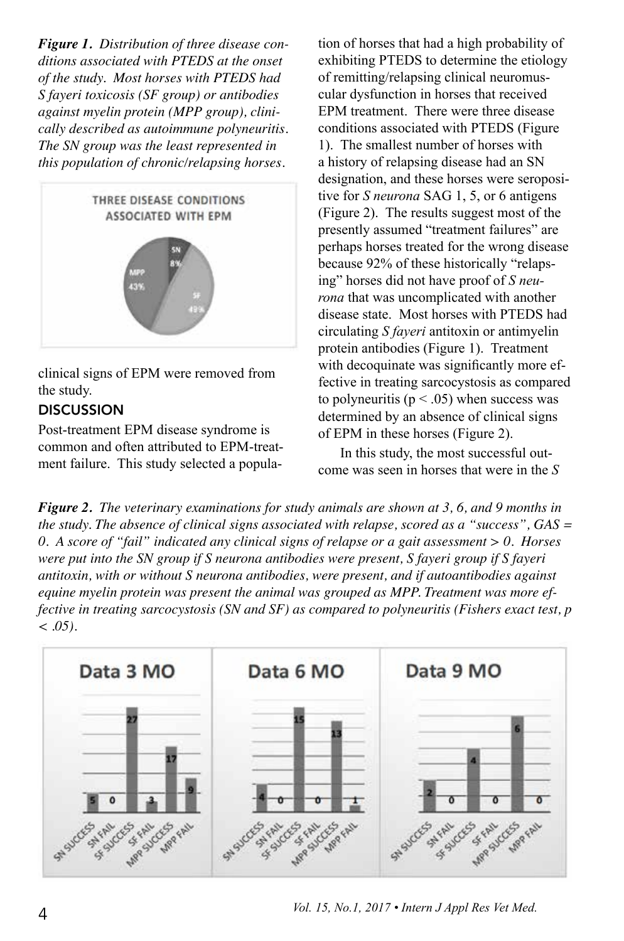*Figure 1. Distribution of three disease conditions associated with PTEDS at the onset of the study. Most horses with PTEDS had S fayeri toxicosis (SF group) or antibodies against myelin protein (MPP group), clinically described as autoimmune polyneuritis. The SN group was the least represented in this population of chronic/relapsing horses.* 



clinical signs of EPM were removed from the study.

# **DISCUSSION**

Post-treatment EPM disease syndrome is common and often attributed to EPM-treatment failure. This study selected a popula-

tion of horses that had a high probability of exhibiting PTEDS to determine the etiology of remitting/relapsing clinical neuromuscular dysfunction in horses that received EPM treatment. There were three disease conditions associated with PTEDS (Figure 1). The smallest number of horses with a history of relapsing disease had an SN designation, and these horses were seropositive for *S neurona* SAG 1, 5, or 6 antigens (Figure 2). The results suggest most of the presently assumed "treatment failures" are perhaps horses treated for the wrong disease because 92% of these historically "relapsing" horses did not have proof of *S neurona* that was uncomplicated with another disease state. Most horses with PTEDS had circulating *S fayeri* antitoxin or antimyelin protein antibodies (Figure 1). Treatment with decoquinate was significantly more effective in treating sarcocystosis as compared to polyneuritis ( $p < .05$ ) when success was determined by an absence of clinical signs of EPM in these horses (Figure 2).

In this study, the most successful outcome was seen in horses that were in the *S* 

*Figure 2. The veterinary examinations for study animals are shown at 3, 6, and 9 months in the study. The absence of clinical signs associated with relapse, scored as a "success", GAS = 0. A score of "fail" indicated any clinical signs of relapse or a gait assessment > 0. Horses were put into the SN group if S neurona antibodies were present, S fayeri group if S fayeri antitoxin, with or without S neurona antibodies, were present, and if autoantibodies against equine myelin protein was present the animal was grouped as MPP. Treatment was more effective in treating sarcocystosis (SN and SF) as compared to polyneuritis (Fishers exact test, p < .05).*



*Vol. 15, No.1, 2017 • Intern J Appl Res Vet Med.* 4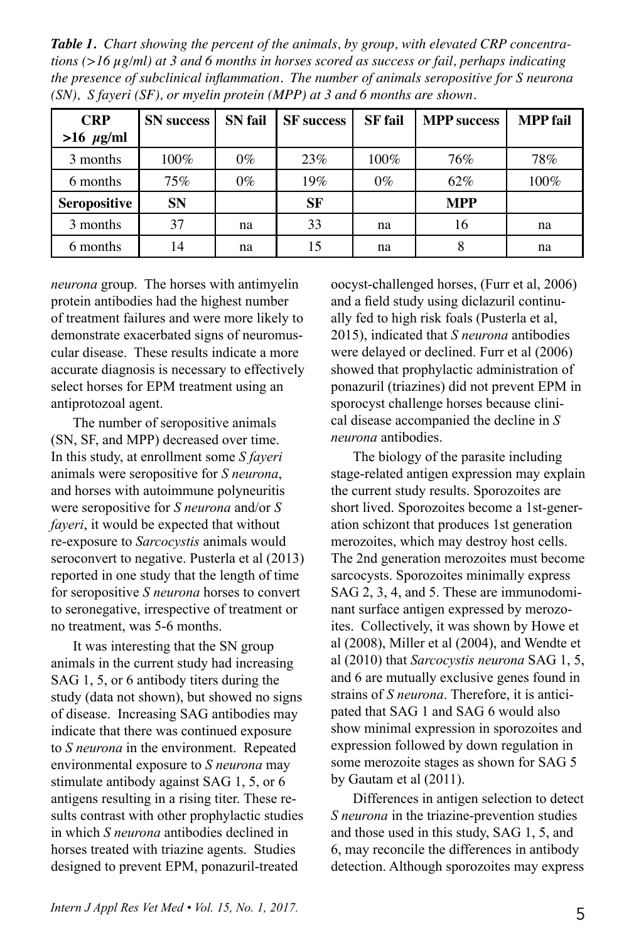*Table 1. Chart showing the percent of the animals, by group, with elevated CRP concentrations (>16 µg/ml) at 3 and 6 months in horses scored as success or fail, perhaps indicating the presence of subclinical inflammation. The number of animals seropositive for S neurona (SN), S fayeri (SF), or myelin protein (MPP) at 3 and 6 months are shown.* 

| <b>CRP</b>          | <b>SN</b> success | <b>SN</b> fail | <b>SF</b> success | <b>SF</b> fail | <b>MPP</b> success | <b>MPP</b> fail |
|---------------------|-------------------|----------------|-------------------|----------------|--------------------|-----------------|
| $>16 \mu g/ml$      |                   |                |                   |                |                    |                 |
| 3 months            | 100%              | $0\%$          | 23%               | $100\%$        | 76%                | 78%             |
| 6 months            | 75%               | $0\%$          | 19%               | $0\%$          | 62%                | $100\%$         |
| <b>Seropositive</b> | <b>SN</b>         |                | <b>SF</b>         |                | <b>MPP</b>         |                 |
| 3 months            | 37                | na             | 33                | na             | 16                 | na              |
| 6 months            | 14                | na             | 15                | na             | 8                  | na              |

*neurona* group. The horses with antimyelin protein antibodies had the highest number of treatment failures and were more likely to demonstrate exacerbated signs of neuromuscular disease. These results indicate a more accurate diagnosis is necessary to effectively select horses for EPM treatment using an antiprotozoal agent.

The number of seropositive animals (SN, SF, and MPP) decreased over time. In this study, at enrollment some *S fayeri* animals were seropositive for *S neurona*, and horses with autoimmune polyneuritis were seropositive for *S neurona* and/or *S fayeri*, it would be expected that without re-exposure to *Sarcocystis* animals would seroconvert to negative. Pusterla et al (2013) reported in one study that the length of time for seropositive *S neurona* horses to convert to seronegative, irrespective of treatment or no treatment, was 5-6 months.

It was interesting that the SN group animals in the current study had increasing SAG 1, 5, or 6 antibody titers during the study (data not shown), but showed no signs of disease. Increasing SAG antibodies may indicate that there was continued exposure to *S neurona* in the environment. Repeated environmental exposure to *S neurona* may stimulate antibody against SAG 1, 5, or 6 antigens resulting in a rising titer. These results contrast with other prophylactic studies in which *S neurona* antibodies declined in horses treated with triazine agents. Studies designed to prevent EPM, ponazuril-treated

oocyst-challenged horses, (Furr et al, 2006) and a field study using diclazuril continually fed to high risk foals (Pusterla et al, 2015), indicated that *S neurona* antibodies were delayed or declined. Furr et al (2006) showed that prophylactic administration of ponazuril (triazines) did not prevent EPM in sporocyst challenge horses because clinical disease accompanied the decline in *S neurona* antibodies.

The biology of the parasite including stage-related antigen expression may explain the current study results. Sporozoites are short lived. Sporozoites become a 1st-generation schizont that produces 1st generation merozoites, which may destroy host cells. The 2nd generation merozoites must become sarcocysts. Sporozoites minimally express SAG 2, 3, 4, and 5. These are immunodominant surface antigen expressed by merozoites. Collectively, it was shown by Howe et al (2008), Miller et al (2004), and Wendte et al (2010) that *Sarcocystis neurona* SAG 1, 5, and 6 are mutually exclusive genes found in strains of *S neurona*. Therefore, it is anticipated that SAG 1 and SAG 6 would also show minimal expression in sporozoites and expression followed by down regulation in some merozoite stages as shown for SAG 5 by Gautam et al (2011).

Differences in antigen selection to detect *S neurona* in the triazine-prevention studies and those used in this study, SAG 1, 5, and 6, may reconcile the differences in antibody detection. Although sporozoites may express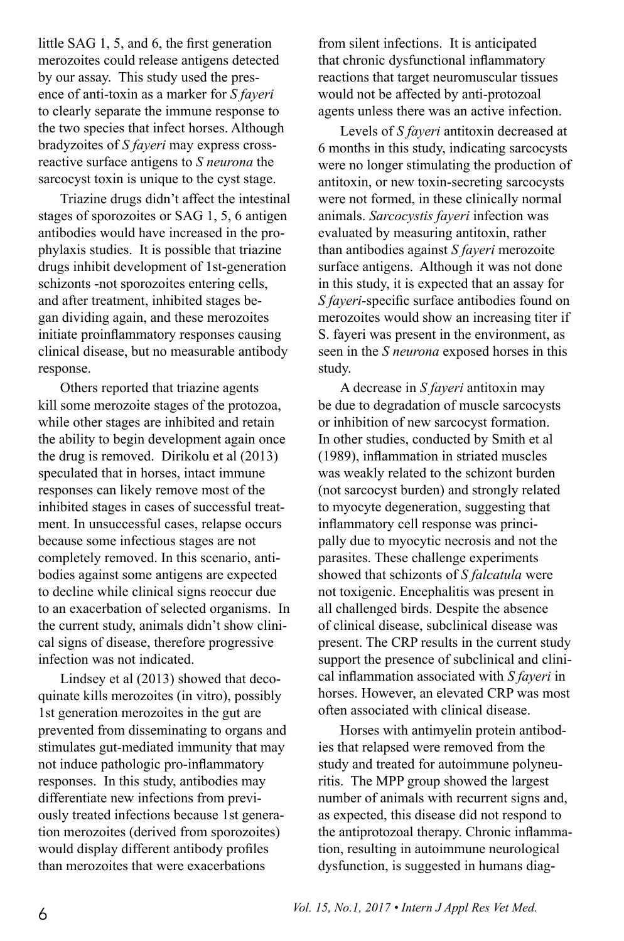little SAG 1, 5, and 6, the first generation merozoites could release antigens detected by our assay. This study used the presence of anti-toxin as a marker for *S fayeri* to clearly separate the immune response to the two species that infect horses. Although bradyzoites of *S fayeri* may express crossreactive surface antigens to *S neurona* the sarcocyst toxin is unique to the cyst stage.

Triazine drugs didn't affect the intestinal stages of sporozoites or SAG 1, 5, 6 antigen antibodies would have increased in the prophylaxis studies. It is possible that triazine drugs inhibit development of 1st-generation schizonts -not sporozoites entering cells, and after treatment, inhibited stages began dividing again, and these merozoites initiate proinflammatory responses causing clinical disease, but no measurable antibody response.

Others reported that triazine agents kill some merozoite stages of the protozoa, while other stages are inhibited and retain the ability to begin development again once the drug is removed. Dirikolu et al (2013) speculated that in horses, intact immune responses can likely remove most of the inhibited stages in cases of successful treatment. In unsuccessful cases, relapse occurs because some infectious stages are not completely removed. In this scenario, antibodies against some antigens are expected to decline while clinical signs reoccur due to an exacerbation of selected organisms. In the current study, animals didn't show clinical signs of disease, therefore progressive infection was not indicated.

Lindsey et al (2013) showed that decoquinate kills merozoites (in vitro), possibly 1st generation merozoites in the gut are prevented from disseminating to organs and stimulates gut-mediated immunity that may not induce pathologic pro-inflammatory responses. In this study, antibodies may differentiate new infections from previously treated infections because 1st generation merozoites (derived from sporozoites) would display different antibody profiles than merozoites that were exacerbations

from silent infections. It is anticipated that chronic dysfunctional inflammatory reactions that target neuromuscular tissues would not be affected by anti-protozoal agents unless there was an active infection.

Levels of *S fayeri* antitoxin decreased at 6 months in this study, indicating sarcocysts were no longer stimulating the production of antitoxin, or new toxin-secreting sarcocysts were not formed, in these clinically normal animals. *Sarcocystis fayeri* infection was evaluated by measuring antitoxin, rather than antibodies against *S fayeri* merozoite surface antigens. Although it was not done in this study, it is expected that an assay for *S fayeri*-specific surface antibodies found on merozoites would show an increasing titer if S. fayeri was present in the environment, as seen in the *S neurona* exposed horses in this study.

A decrease in *S fayeri* antitoxin may be due to degradation of muscle sarcocysts or inhibition of new sarcocyst formation. In other studies, conducted by Smith et al (1989), inflammation in striated muscles was weakly related to the schizont burden (not sarcocyst burden) and strongly related to myocyte degeneration, suggesting that inflammatory cell response was principally due to myocytic necrosis and not the parasites. These challenge experiments showed that schizonts of *S falcatula* were not toxigenic. Encephalitis was present in all challenged birds. Despite the absence of clinical disease, subclinical disease was present. The CRP results in the current study support the presence of subclinical and clinical inflammation associated with *S fayeri* in horses. However, an elevated CRP was most often associated with clinical disease.

Horses with antimyelin protein antibodies that relapsed were removed from the study and treated for autoimmune polyneuritis. The MPP group showed the largest number of animals with recurrent signs and, as expected, this disease did not respond to the antiprotozoal therapy. Chronic inflammation, resulting in autoimmune neurological dysfunction, is suggested in humans diag-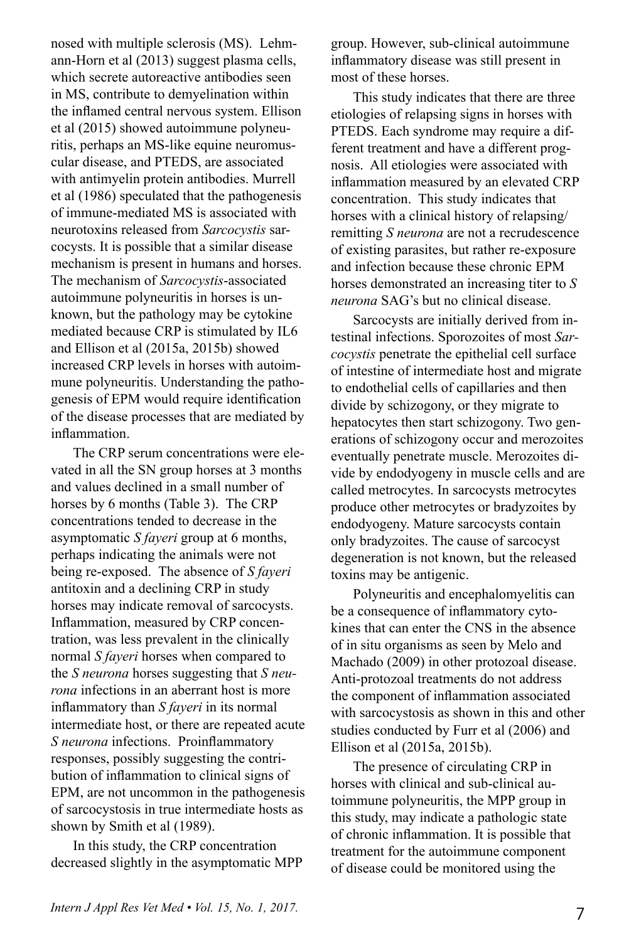nosed with multiple sclerosis (MS). Lehmann-Horn et al (2013) suggest plasma cells, which secrete autoreactive antibodies seen in MS, contribute to demyelination within the inflamed central nervous system. Ellison et al (2015) showed autoimmune polyneuritis, perhaps an MS-like equine neuromuscular disease, and PTEDS, are associated with antimyelin protein antibodies. Murrell et al (1986) speculated that the pathogenesis of immune-mediated MS is associated with neurotoxins released from *Sarcocystis* sarcocysts. It is possible that a similar disease mechanism is present in humans and horses. The mechanism of *Sarcocystis*-associated autoimmune polyneuritis in horses is unknown, but the pathology may be cytokine mediated because CRP is stimulated by IL6 and Ellison et al (2015a, 2015b) showed increased CRP levels in horses with autoimmune polyneuritis. Understanding the pathogenesis of EPM would require identification of the disease processes that are mediated by inflammation.

The CRP serum concentrations were elevated in all the SN group horses at 3 months and values declined in a small number of horses by 6 months (Table 3). The CRP concentrations tended to decrease in the asymptomatic *S fayeri* group at 6 months, perhaps indicating the animals were not being re-exposed. The absence of *S fayeri* antitoxin and a declining CRP in study horses may indicate removal of sarcocysts. Inflammation, measured by CRP concentration, was less prevalent in the clinically normal *S fayeri* horses when compared to the *S neurona* horses suggesting that *S neurona* infections in an aberrant host is more inflammatory than *S fayeri* in its normal intermediate host, or there are repeated acute *S neurona* infections. Proinflammatory responses, possibly suggesting the contribution of inflammation to clinical signs of EPM, are not uncommon in the pathogenesis of sarcocystosis in true intermediate hosts as shown by Smith et al (1989).

In this study, the CRP concentration decreased slightly in the asymptomatic MPP group. However, sub-clinical autoimmune inflammatory disease was still present in most of these horses.

This study indicates that there are three etiologies of relapsing signs in horses with PTEDS. Each syndrome may require a different treatment and have a different prognosis. All etiologies were associated with inflammation measured by an elevated CRP concentration. This study indicates that horses with a clinical history of relapsing/ remitting *S neurona* are not a recrudescence of existing parasites, but rather re-exposure and infection because these chronic EPM horses demonstrated an increasing titer to *S neurona* SAG's but no clinical disease.

Sarcocysts are initially derived from intestinal infections. Sporozoites of most *Sarcocystis* penetrate the epithelial cell surface of intestine of intermediate host and migrate to endothelial cells of capillaries and then divide by schizogony, or they migrate to hepatocytes then start schizogony. Two generations of schizogony occur and merozoites eventually penetrate muscle. Merozoites divide by endodyogeny in muscle cells and are called metrocytes. In sarcocysts metrocytes produce other metrocytes or bradyzoites by endodyogeny. Mature sarcocysts contain only bradyzoites. The cause of sarcocyst degeneration is not known, but the released toxins may be antigenic.

Polyneuritis and encephalomyelitis can be a consequence of inflammatory cytokines that can enter the CNS in the absence of in situ organisms as seen by Melo and Machado (2009) in other protozoal disease. Anti-protozoal treatments do not address the component of inflammation associated with sarcocystosis as shown in this and other studies conducted by Furr et al (2006) and Ellison et al (2015a, 2015b).

The presence of circulating CRP in horses with clinical and sub-clinical autoimmune polyneuritis, the MPP group in this study, may indicate a pathologic state of chronic inflammation. It is possible that treatment for the autoimmune component of disease could be monitored using the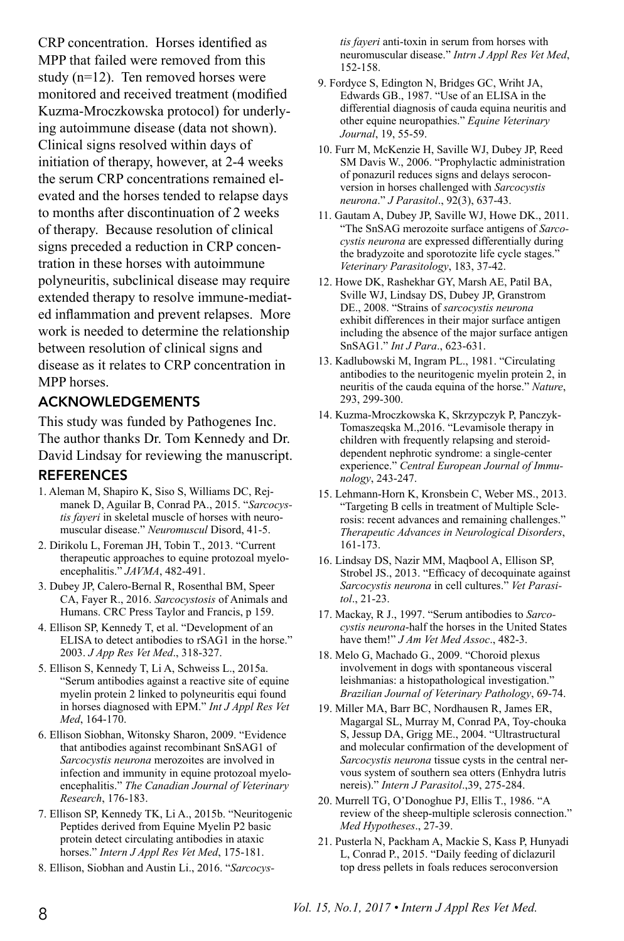CRP concentration. Horses identified as MPP that failed were removed from this study (n=12). Ten removed horses were monitored and received treatment (modified Kuzma-Mroczkowska protocol) for underlying autoimmune disease (data not shown). Clinical signs resolved within days of initiation of therapy, however, at 2-4 weeks the serum CRP concentrations remained elevated and the horses tended to relapse days to months after discontinuation of 2 weeks of therapy. Because resolution of clinical signs preceded a reduction in CRP concentration in these horses with autoimmune polyneuritis, subclinical disease may require extended therapy to resolve immune-mediated inflammation and prevent relapses. More work is needed to determine the relationship between resolution of clinical signs and disease as it relates to CRP concentration in MPP horses.

## ACKNOWLEDGEMENTS

This study was funded by Pathogenes Inc. The author thanks Dr. Tom Kennedy and Dr. David Lindsay for reviewing the manuscript.

## **REFERENCES**

- 1. Aleman M, Shapiro K, Siso S, Williams DC, Rejmanek D, Aguilar B, Conrad PA., 2015. "*Sarcocystis fayeri* in skeletal muscle of horses with neuromuscular disease." *Neuromuscul* Disord, 41-5.
- 2. Dirikolu L, Foreman JH, Tobin T., 2013. "Current therapeutic approaches to equine protozoal myeloencephalitis." *JAVMA*, 482-491.
- 3. Dubey JP, Calero-Bernal R, Rosenthal BM, Speer CA, Fayer R., 2016. *Sarcocystosis* of Animals and Humans. CRC Press Taylor and Francis, p 159.
- 4. Ellison SP, Kennedy T, et al. "Development of an ELISA to detect antibodies to rSAG1 in the horse." 2003. *J App Res Vet Med*., 318-327.
- 5. Ellison S, Kennedy T, Li A, Schweiss L., 2015a. "Serum antibodies against a reactive site of equine myelin protein 2 linked to polyneuritis equi found in horses diagnosed with EPM." *Int J Appl Res Vet Med*, 164-170.
- 6. Ellison Siobhan, Witonsky Sharon, 2009. "Evidence that antibodies against recombinant SnSAG1 of *Sarcocystis neurona* merozoites are involved in infection and immunity in equine protozoal myeloencephalitis." *The Canadian Journal of Veterinary Research*, 176-183.
- 7. Ellison SP, Kennedy TK, Li A., 2015b. "Neuritogenic Peptides derived from Equine Myelin P2 basic protein detect circulating antibodies in ataxic horses." *Intern J Appl Res Vet Med*, 175-181.
- 8. Ellison, Siobhan and Austin Li., 2016. "*Sarcocys-*

*tis fayeri* anti-toxin in serum from horses with neuromuscular disease." *Intrn J Appl Res Vet Med*, 152-158.

- 9. Fordyce S, Edington N, Bridges GC, Wriht JA, Edwards GB., 1987. "Use of an ELISA in the differential diagnosis of cauda equina neuritis and other equine neuropathies." *Equine Veterinary Journal*, 19, 55-59.
- 10. Furr M, McKenzie H, Saville WJ, Dubey JP, Reed SM Davis W., 2006. "Prophylactic administration of ponazuril reduces signs and delays seroconversion in horses challenged with *Sarcocystis neurona*." *J Parasitol*., 92(3), 637-43.
- 11. Gautam A, Dubey JP, Saville WJ, Howe DK., 2011. "The SnSAG merozoite surface antigens of *Sarcocystis neurona* are expressed differentially during the bradyzoite and sporotozite life cycle stages." *Veterinary Parasitology*, 183, 37-42.
- 12. Howe DK, Rashekhar GY, Marsh AE, Patil BA, Sville WJ, Lindsay DS, Dubey JP, Granstrom DE., 2008. "Strains of *sarcocystis neurona* exhibit differences in their major surface antigen including the absence of the major surface antigen SnSAG1." *Int J Para*., 623-631.
- 13. Kadlubowski M, Ingram PL., 1981. "Circulating antibodies to the neuritogenic myelin protein 2, in neuritis of the cauda equina of the horse." *Nature*, 293, 299-300.
- 14. Kuzma-Mroczkowska K, Skrzypczyk P, Panczyk-Tomaszeqska M.,2016. "Levamisole therapy in children with frequently relapsing and steroiddependent nephrotic syndrome: a single-center experience." *Central European Journal of Immunology*, 243-247.
- 15. Lehmann-Horn K, Kronsbein C, Weber MS., 2013. "Targeting B cells in treatment of Multiple Sclerosis: recent advances and remaining challenges." *Therapeutic Advances in Neurological Disorders*, 161-173.
- 16. Lindsay DS, Nazir MM, Maqbool A, Ellison SP, Strobel JS., 2013. "Efficacy of decoquinate against *Sarcocystis neurona* in cell cultures." *Vet Parasitol*., 21-23.
- 17. Mackay, R J., 1997. "Serum antibodies to *Sarcocystis neurona*-half the horses in the United States have them!" *J Am Vet Med Assoc*., 482-3.
- 18. Melo G, Machado G., 2009. "Choroid plexus involvement in dogs with spontaneous visceral leishmanias: a histopathological investigation." *Brazilian Journal of Veterinary Pathology*, 69-74.
- 19. Miller MA, Barr BC, Nordhausen R, James ER, Magargal SL, Murray M, Conrad PA, Toy-chouka S, Jessup DA, Grigg ME., 2004. "Ultrastructural and molecular confirmation of the development of *Sarcocystis neurona* tissue cysts in the central nervous system of southern sea otters (Enhydra lutris nereis)." *Intern J Parasitol*.,39, 275-284.
- 20. Murrell TG, O'Donoghue PJ, Ellis T., 1986. "A review of the sheep-multiple sclerosis connection." *Med Hypotheses*., 27-39.
- 21. Pusterla N, Packham A, Mackie S, Kass P, Hunyadi L, Conrad P., 2015. "Daily feeding of diclazuril top dress pellets in foals reduces seroconversion